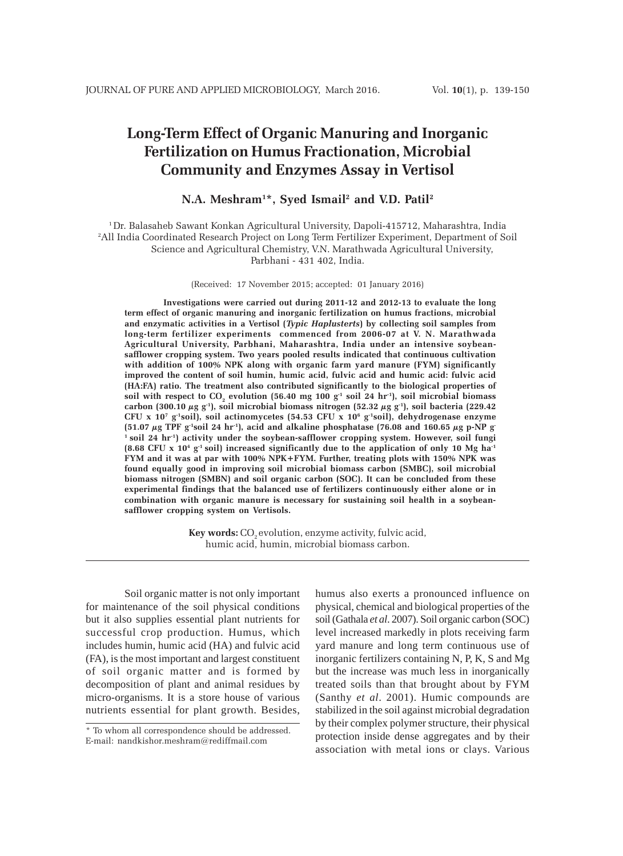# **Long-Term Effect of Organic Manuring and Inorganic Fertilization on Humus Fractionation, Microbial Community and Enzymes Assay in Vertisol**

## **N.A. Meshram1 \*, Syed Ismail2 and V.D. Patil2**

1 Dr. Balasaheb Sawant Konkan Agricultural University, Dapoli-415712, Maharashtra, India 2 All India Coordinated Research Project on Long Term Fertilizer Experiment, Department of Soil Science and Agricultural Chemistry, V.N. Marathwada Agricultural University, Parbhani - 431 402, India.

(Received: 17 November 2015; accepted: 01 January 2016)

**Investigations were carried out during 2011-12 and 2012-13 to evaluate the long term effect of organic manuring and inorganic fertilization on humus fractions, microbial and enzymatic activities in a Vertisol (***Typic Haplusterts***) by collecting soil samples from long-term fertilizer experiments commenced from 2006-07 at V. N. Marathwada Agricultural University, Parbhani, Maharashtra, India under an intensive soybeansafflower cropping system. Two years pooled results indicated that continuous cultivation with addition of 100% NPK along with organic farm yard manure (FYM) significantly improved the content of soil humin, humic acid, fulvic acid and humic acid: fulvic acid (HA:FA) ratio. The treatment also contributed significantly to the biological properties of** soil with respect to  $CO<sub>2</sub>$  evolution (56.40 mg 100  $g<sup>-1</sup>$  soil  $24$  hr<sup>-1</sup>), soil microbial biomass **carbon (300.10 µg g-1), soil microbial biomass nitrogen (52.32 µg g-1), soil bacteria (229.42 CFU x 107 g-1soil), soil actinomycetes (54.53 CFU x 106 g-1soil), dehydrogenase enzyme (51.07 µg TPF g-1soil 24 hr-1), acid and alkaline phosphatase (76.08 and 160.65 µg p-NP g-1 soil 24 hr-1) activity under the soybean-safflower cropping system. However, soil fungi** (8.68 CFU x  $10^4$  g<sup>-1</sup> soil) increased significantly due to the application of only 10 Mg ha<sup>-1</sup> **FYM and it was at par with 100% NPK+FYM. Further, treating plots with 150% NPK was found equally good in improving soil microbial biomass carbon (SMBC), soil microbial biomass nitrogen (SMBN) and soil organic carbon (SOC). It can be concluded from these experimental findings that the balanced use of fertilizers continuously either alone or in combination with organic manure is necessary for sustaining soil health in a soybeansafflower cropping system on Vertisols.**

> Key words: CO<sub>2</sub> evolution, enzyme activity, fulvic acid, humic acid, humin, microbial biomass carbon.

Soil organic matter is not only important for maintenance of the soil physical conditions but it also supplies essential plant nutrients for successful crop production. Humus, which includes humin, humic acid (HA) and fulvic acid (FA), is the most important and largest constituent of soil organic matter and is formed by decomposition of plant and animal residues by micro-organisms. It is a store house of various nutrients essential for plant growth. Besides,

humus also exerts a pronounced influence on physical, chemical and biological properties of the soil (Gathala *et al*. 2007). Soil organic carbon (SOC) level increased markedly in plots receiving farm yard manure and long term continuous use of inorganic fertilizers containing N, P, K, S and Mg but the increase was much less in inorganically treated soils than that brought about by FYM (Santhy *et al*. 2001). Humic compounds are stabilized in the soil against microbial degradation by their complex polymer structure, their physical protection inside dense aggregates and by their association with metal ions or clays. Various

<sup>\*</sup> To whom all correspondence should be addressed. E-mail: nandkishor.meshram@rediffmail.com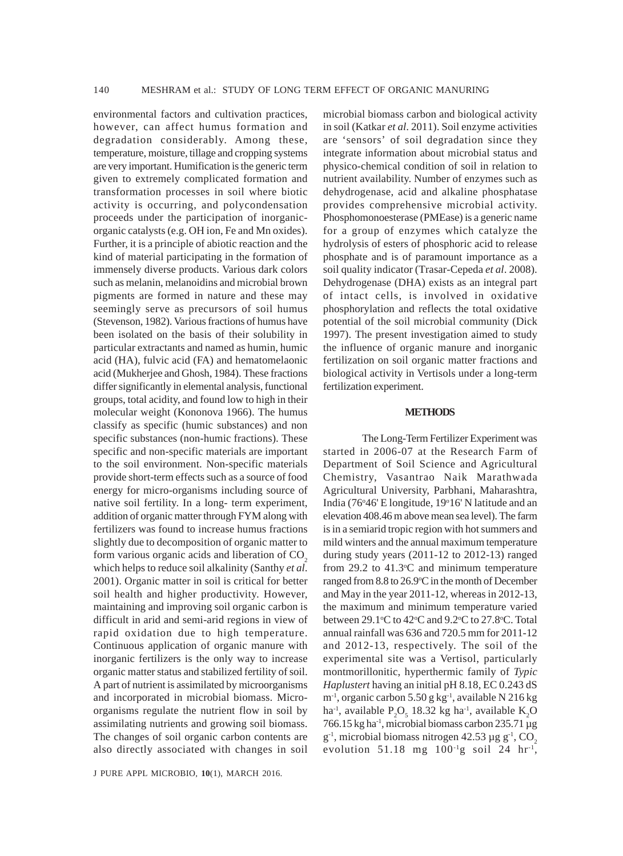environmental factors and cultivation practices, however, can affect humus formation and degradation considerably. Among these, temperature, moisture, tillage and cropping systems are very important. Humification is the generic term given to extremely complicated formation and transformation processes in soil where biotic activity is occurring, and polycondensation proceeds under the participation of inorganicorganic catalysts (e.g. OH ion, Fe and Mn oxides). Further, it is a principle of abiotic reaction and the kind of material participating in the formation of immensely diverse products. Various dark colors such as melanin, melanoidins and microbial brown pigments are formed in nature and these may seemingly serve as precursors of soil humus (Stevenson, 1982). Various fractions of humus have been isolated on the basis of their solubility in particular extractants and named as humin, humic acid (HA), fulvic acid (FA) and hematomelaonic acid (Mukherjee and Ghosh, 1984). These fractions differ significantly in elemental analysis, functional groups, total acidity, and found low to high in their molecular weight (Kononova 1966). The humus classify as specific (humic substances) and non specific substances (non-humic fractions). These specific and non-specific materials are important to the soil environment. Non-specific materials provide short-term effects such as a source of food energy for micro-organisms including source of native soil fertility. In a long- term experiment, addition of organic matter through FYM along with fertilizers was found to increase humus fractions slightly due to decomposition of organic matter to form various organic acids and liberation of  $CO<sub>2</sub>$ which helps to reduce soil alkalinity (Santhy *et al*. 2001). Organic matter in soil is critical for better soil health and higher productivity. However, maintaining and improving soil organic carbon is difficult in arid and semi-arid regions in view of rapid oxidation due to high temperature. Continuous application of organic manure with inorganic fertilizers is the only way to increase organic matter status and stabilized fertility of soil. A part of nutrient is assimilated by microorganisms and incorporated in microbial biomass. Microorganisms regulate the nutrient flow in soil by assimilating nutrients and growing soil biomass. The changes of soil organic carbon contents are also directly associated with changes in soil

J PURE APPL MICROBIO*,* **10**(1), MARCH 2016.

microbial biomass carbon and biological activity in soil (Katkar *et al*. 2011). Soil enzyme activities are 'sensors' of soil degradation since they integrate information about microbial status and physico-chemical condition of soil in relation to nutrient availability. Number of enzymes such as dehydrogenase, acid and alkaline phosphatase provides comprehensive microbial activity. Phosphomonoesterase (PMEase) is a generic name for a group of enzymes which catalyze the hydrolysis of esters of phosphoric acid to release phosphate and is of paramount importance as a soil quality indicator (Trasar-Cepeda *et al*. 2008). Dehydrogenase (DHA) exists as an integral part of intact cells, is involved in oxidative phosphorylation and reflects the total oxidative potential of the soil microbial community (Dick 1997). The present investigation aimed to study the influence of organic manure and inorganic fertilization on soil organic matter fractions and biological activity in Vertisols under a long-term fertilization experiment.

## **METHODS**

The Long-Term Fertilizer Experiment was started in 2006-07 at the Research Farm of Department of Soil Science and Agricultural Chemistry, Vasantrao Naik Marathwada Agricultural University, Parbhani, Maharashtra, India (76°46' E longitude, 19°16' N latitude and an elevation 408.46 m above mean sea level). The farm is in a semiarid tropic region with hot summers and mild winters and the annual maximum temperature during study years (2011-12 to 2012-13) ranged from  $29.2$  to  $41.3$ °C and minimum temperature ranged from 8.8 to 26.9°C in the month of December and May in the year 2011-12, whereas in 2012-13, the maximum and minimum temperature varied between 29.1°C to 42°C and 9.2°C to 27.8°C. Total annual rainfall was 636 and 720.5 mm for 2011-12 and 2012-13, respectively. The soil of the experimental site was a Vertisol, particularly montmorillonitic, hyperthermic family of *Typic Haplustert* having an initial pH 8.18, EC 0.243 dS  $m<sup>-1</sup>$ , organic carbon 5.50 g kg<sup>-1</sup>, available N 216 kg ha<sup>-1</sup>, available  $P_2O_5$  18.32 kg ha<sup>-1</sup>, available K<sub>2</sub>O 766.15 kg ha $^{-1}$ , microbial biomass carbon 235.71 µg  $g<sup>1</sup>$ , microbial biomass nitrogen 42.53  $\mu$ g g<sup>-1</sup>, CO<sub>2</sub> evolution 51.18 mg  $100^{-1}$ g soil 24 hr<sup>-1</sup>,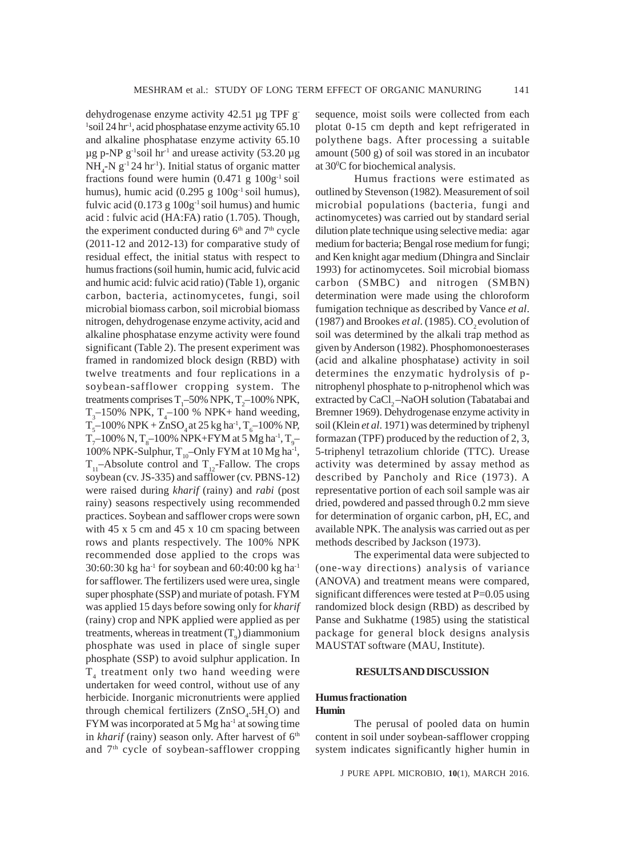sequence, moist soils were collected from each plotat 0-15 cm depth and kept refrigerated in polythene bags. After processing a suitable amount (500 g) of soil was stored in an incubator

<sup>1</sup>soil 24 hr<sup>1</sup>, acid phosphatase enzyme activity 65.10 and alkaline phosphatase enzyme activity 65.10  $\mu$ g p-NP g<sup>-1</sup>soil hr<sup>-1</sup> and urease activity (53.20  $\mu$ g  $NH_{4}$ -N g<sup>-1</sup> 24 hr<sup>-1</sup>). Initial status of organic matter fractions found were humin  $(0.471 \text{ g } 100 \text{ g}^{-1} \text{ soil}$ humus), humic acid  $(0.295 \text{ g } 100 \text{ g}^{-1} \text{ soil humus}),$ fulvic acid  $(0.173 \text{ g } 100 \text{ g}^{-1} \text{ soil humus})$  and humic acid : fulvic acid (HA:FA) ratio (1.705). Though, the experiment conducted during  $6<sup>th</sup>$  and  $7<sup>th</sup>$  cycle (2011-12 and 2012-13) for comparative study of residual effect, the initial status with respect to humus fractions (soil humin, humic acid, fulvic acid and humic acid: fulvic acid ratio) (Table 1), organic carbon, bacteria, actinomycetes, fungi, soil microbial biomass carbon, soil microbial biomass nitrogen, dehydrogenase enzyme activity, acid and alkaline phosphatase enzyme activity were found significant (Table 2). The present experiment was framed in randomized block design (RBD) with twelve treatments and four replications in a soybean-safflower cropping system. The treatments comprises  $T_1$ –50% NPK,  $T_2$ –100% NPK,  $T_{3}$ –150% NPK,  $T_{4}$ –100 % NPK+ hand weeding,  $T_5$ –100% NPK + ZnSO<sub>4</sub> at 25 kg ha<sup>-1</sup>, T<sub>6</sub>–100% NP,  $T_{7}$ –100% N,  $T_{8}$ –100% NPK+FYM at 5 Mg ha<sup>-1</sup>,  $T_{9}$ – 100% NPK-Sulphur,  $T_{10}$ –Only FYM at 10 Mg ha<sup>-1</sup>,  $T_{11}$ –Absolute control and  $T_{12}$ -Fallow. The crops soybean (cv. JS-335) and safflower (cv. PBNS-12) were raised during *kharif* (rainy) and *rabi* (post rainy) seasons respectively using recommended practices. Soybean and safflower crops were sown with 45 x 5 cm and 45 x 10 cm spacing between rows and plants respectively. The 100% NPK recommended dose applied to the crops was 30:60:30 kg ha<sup>-1</sup> for soybean and 60:40:00 kg ha<sup>-1</sup> for safflower. The fertilizers used were urea, single super phosphate (SSP) and muriate of potash. FYM was applied 15 days before sowing only for *kharif* (rainy) crop and NPK applied were applied as per treatments, whereas in treatment  $(T_{\text{9}})$  diammonium phosphate was used in place of single super phosphate (SSP) to avoid sulphur application. In T<sub>4</sub> treatment only two hand weeding were undertaken for weed control, without use of any herbicide. Inorganic micronutrients were applied through chemical fertilizers  $(ZnSO_4.5H_2O)$  and FYM was incorporated at  $5$  Mg ha<sup>-1</sup> at sowing time in *kharif* (rainy) season only. After harvest of 6<sup>th</sup> and 7<sup>th</sup> cycle of soybean-safflower cropping

dehydrogenase enzyme activity 42.51 µg TPF g-

Humus fractions were estimated as outlined by Stevenson (1982). Measurement of soil microbial populations (bacteria, fungi and actinomycetes) was carried out by standard serial dilution plate technique using selective media: agar medium for bacteria; Bengal rose medium for fungi; and Ken knight agar medium (Dhingra and Sinclair 1993) for actinomycetes. Soil microbial biomass carbon (SMBC) and nitrogen (SMBN) determination were made using the chloroform fumigation technique as described by Vance *et al*. (1987) and Brookes  $et al.$  (1985). CO<sub>2</sub> evolution of soil was determined by the alkali trap method as given by Anderson (1982). Phosphomonoesterases (acid and alkaline phosphatase) activity in soil determines the enzymatic hydrolysis of pnitrophenyl phosphate to p-nitrophenol which was extracted by CaCl<sub>2</sub>-NaOH solution (Tabatabai and Bremner 1969). Dehydrogenase enzyme activity in soil (Klein *et al*. 1971) was determined by triphenyl formazan (TPF) produced by the reduction of 2, 3, 5-triphenyl tetrazolium chloride (TTC). Urease activity was determined by assay method as described by Pancholy and Rice (1973). A representative portion of each soil sample was air dried, powdered and passed through 0.2 mm sieve for determination of organic carbon, pH, EC, and available NPK. The analysis was carried out as per methods described by Jackson (1973).

at 30°C for biochemical analysis.

The experimental data were subjected to (one-way directions) analysis of variance (ANOVA) and treatment means were compared, significant differences were tested at P=0.05 using randomized block design (RBD) as described by Panse and Sukhatme (1985) using the statistical package for general block designs analysis MAUSTAT software (MAU, Institute).

## **RESULTS AND DISCUSSION**

## **Humus fractionation Humin**

The perusal of pooled data on humin content in soil under soybean-safflower cropping system indicates significantly higher humin in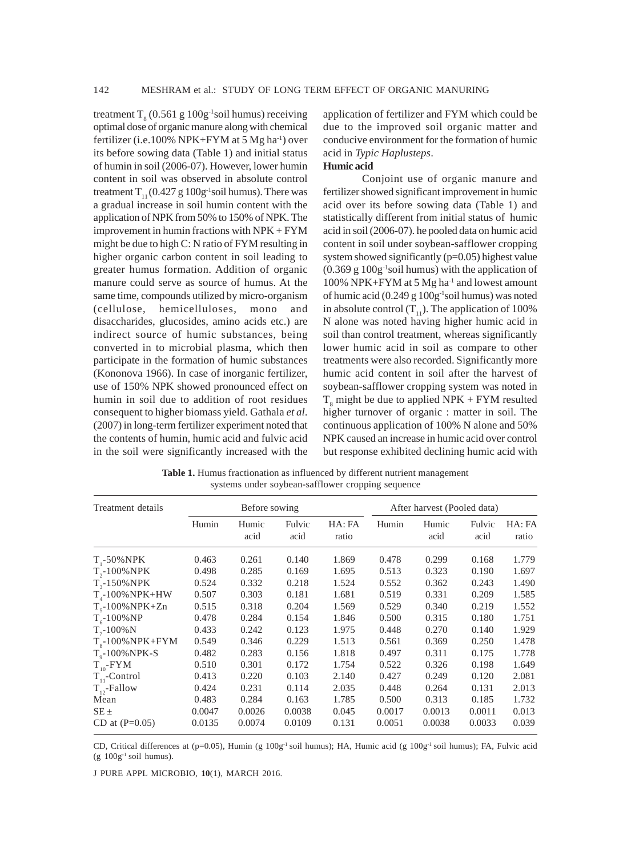treatment  $T_{\rm g}$  (0.561 g 100g<sup>-1</sup>soil humus) receiving optimal dose of organic manure along with chemical fertilizer (i.e.100% NPK+FYM at 5 Mg ha<sup>-1</sup>) over its before sowing data (Table 1) and initial status of humin in soil (2006-07). However, lower humin content in soil was observed in absolute control treatment  $T_{11} (0.427 g 100 g^{-1} \text{solid}$  humus). There was a gradual increase in soil humin content with the application of NPK from 50% to 150% of NPK. The improvement in humin fractions with NPK + FYM might be due to high C: N ratio of FYM resulting in higher organic carbon content in soil leading to greater humus formation. Addition of organic manure could serve as source of humus. At the same time, compounds utilized by micro-organism (cellulose, hemicelluloses, mono and disaccharides, glucosides, amino acids etc.) are indirect source of humic substances, being converted in to microbial plasma, which then participate in the formation of humic substances (Kononova 1966). In case of inorganic fertilizer, use of 150% NPK showed pronounced effect on humin in soil due to addition of root residues consequent to higher biomass yield. Gathala *et al*. (2007) in long-term fertilizer experiment noted that the contents of humin, humic acid and fulvic acid in the soil were significantly increased with the

application of fertilizer and FYM which could be due to the improved soil organic matter and conducive environment for the formation of humic acid in *Typic Haplusteps*.

## **Humic acid**

Conjoint use of organic manure and fertilizer showed significant improvement in humic acid over its before sowing data (Table 1) and statistically different from initial status of humic acid in soil (2006-07). he pooled data on humic acid content in soil under soybean-safflower cropping system showed significantly (p=0.05) highest value  $(0.369 \text{ g } 100 \text{ g}^{-1}$ soil humus) with the application of 100% NPK+FYM at 5 Mg ha-1 and lowest amount of humic acid  $(0.249 g 100g<sup>-1</sup>$ soil humus) was noted in absolute control  $(T_{11})$ . The application of 100% N alone was noted having higher humic acid in soil than control treatment, whereas significantly lower humic acid in soil as compare to other treatments were also recorded. Significantly more humic acid content in soil after the harvest of soybean-safflower cropping system was noted in  $T_{8}$  might be due to applied NPK + FYM resulted higher turnover of organic : matter in soil. The continuous application of 100% N alone and 50% NPK caused an increase in humic acid over control but response exhibited declining humic acid with

Table 1. Humus fractionation as influenced by different nutrient management systems under soybean-safflower cropping sequence

| Treatment details    |        | Before sowing |                |                 |        | After harvest (Pooled data) |                |                 |
|----------------------|--------|---------------|----------------|-----------------|--------|-----------------------------|----------------|-----------------|
|                      | Humin  | Humic<br>acid | Fulvic<br>acid | HA: FA<br>ratio | Humin  | Humic<br>acid               | Fulvic<br>acid | HA: FA<br>ratio |
| $T - 50\%$ NPK       | 0.463  | 0.261         | 0.140          | 1.869           | 0.478  | 0.299                       | 0.168          | 1.779           |
| $T_{2}$ -100% NPK    | 0.498  | 0.285         | 0.169          | 1.695           | 0.513  | 0.323                       | 0.190          | 1.697           |
| $T_{3}$ -150% NPK    | 0.524  | 0.332         | 0.218          | 1.524           | 0.552  | 0.362                       | 0.243          | 1.490           |
| $T4$ -100%NPK+HW     | 0.507  | 0.303         | 0.181          | 1.681           | 0.519  | 0.331                       | 0.209          | 1.585           |
| $T_{5}$ -100% NPK+Zn | 0.515  | 0.318         | 0.204          | 1.569           | 0.529  | 0.340                       | 0.219          | 1.552           |
| $T_c - 100\% NP$     | 0.478  | 0.284         | 0.154          | 1.846           | 0.500  | 0.315                       | 0.180          | 1.751           |
| $T_{7}$ -100%N       | 0.433  | 0.242         | 0.123          | 1.975           | 0.448  | 0.270                       | 0.140          | 1.929           |
| $T_s$ -100% NPK+FYM  | 0.549  | 0.346         | 0.229          | 1.513           | 0.561  | 0.369                       | 0.250          | 1.478           |
| $T_o$ -100% NPK-S    | 0.482  | 0.283         | 0.156          | 1.818           | 0.497  | 0.311                       | 0.175          | 1.778           |
| $T_{10}$ -FYM        | 0.510  | 0.301         | 0.172          | 1.754           | 0.522  | 0.326                       | 0.198          | 1.649           |
| $T_{11}$ -Control    | 0.413  | 0.220         | 0.103          | 2.140           | 0.427  | 0.249                       | 0.120          | 2.081           |
| $T_{12}$ -Fallow     | 0.424  | 0.231         | 0.114          | 2.035           | 0.448  | 0.264                       | 0.131          | 2.013           |
| Mean                 | 0.483  | 0.284         | 0.163          | 1.785           | 0.500  | 0.313                       | 0.185          | 1.732           |
| $SE \pm$             | 0.0047 | 0.0026        | 0.0038         | 0.045           | 0.0017 | 0.0013                      | 0.0011         | 0.013           |
| CD at $(P=0.05)$     | 0.0135 | 0.0074        | 0.0109         | 0.131           | 0.0051 | 0.0038                      | 0.0033         | 0.039           |

CD, Critical differences at (p=0.05), Humin (g  $100g^{-1}$  soil humus); HA, Humic acid (g  $100g^{-1}$  soil humus); FA, Fulvic acid  $(g 100g^{-1} solid$  humus).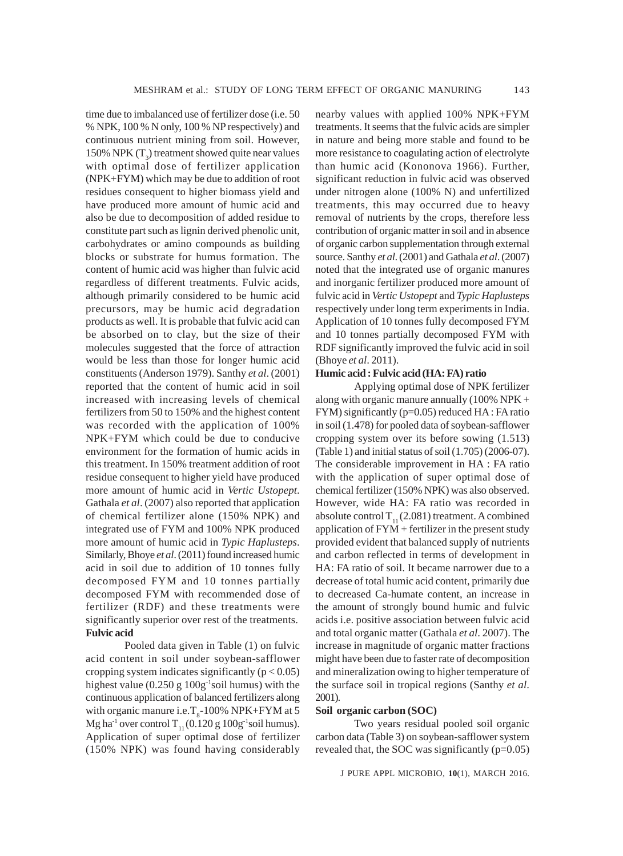time due to imbalanced use of fertilizer dose (i.e. 50 % NPK, 100 % N only, 100 % NP respectively) and continuous nutrient mining from soil. However, 150% NPK  $(T_3)$  treatment showed quite near values with optimal dose of fertilizer application (NPK+FYM) which may be due to addition of root residues consequent to higher biomass yield and have produced more amount of humic acid and also be due to decomposition of added residue to constitute part such as lignin derived phenolic unit, carbohydrates or amino compounds as building blocks or substrate for humus formation. The content of humic acid was higher than fulvic acid regardless of different treatments. Fulvic acids, although primarily considered to be humic acid precursors, may be humic acid degradation products as well. It is probable that fulvic acid can be absorbed on to clay, but the size of their molecules suggested that the force of attraction would be less than those for longer humic acid constituents (Anderson 1979). Santhy *et al*. (2001) reported that the content of humic acid in soil increased with increasing levels of chemical fertilizers from 50 to 150% and the highest content was recorded with the application of 100% NPK+FYM which could be due to conducive environment for the formation of humic acids in this treatment. In 150% treatment addition of root residue consequent to higher yield have produced more amount of humic acid in *Vertic Ustopept*. Gathala *et al*. (2007) also reported that application of chemical fertilizer alone (150% NPK) and integrated use of FYM and 100% NPK produced more amount of humic acid in *Typic Haplusteps*. Similarly, Bhoye *et al*. (2011) found increased humic acid in soil due to addition of 10 tonnes fully decomposed FYM and 10 tonnes partially decomposed FYM with recommended dose of fertilizer (RDF) and these treatments were significantly superior over rest of the treatments. **Fulvic acid**

Pooled data given in Table (1) on fulvic acid content in soil under soybean-safflower cropping system indicates significantly  $(p < 0.05)$ highest value  $(0.250 \text{ g } 100 \text{ g }^{-1}$ soil humus) with the continuous application of balanced fertilizers along with organic manure i.e.  $T_{\text{s}}$ -100% NPK+FYM at 5 Mg ha<sup>-1</sup> over control T<sub>11</sub> (0.120 g 100g<sup>-1</sup>soil humus). Application of super optimal dose of fertilizer (150% NPK) was found having considerably nearby values with applied 100% NPK+FYM treatments. It seems that the fulvic acids are simpler in nature and being more stable and found to be more resistance to coagulating action of electrolyte than humic acid (Kononova 1966). Further, significant reduction in fulvic acid was observed under nitrogen alone (100% N) and unfertilized treatments, this may occurred due to heavy removal of nutrients by the crops, therefore less contribution of organic matter in soil and in absence of organic carbon supplementation through external source. Santhy *et al*. (2001) and Gathala *et al*. (2007) noted that the integrated use of organic manures and inorganic fertilizer produced more amount of fulvic acid in *Vertic Ustopept* and *Typic Haplusteps* respectively under long term experiments in India. Application of 10 tonnes fully decomposed FYM and 10 tonnes partially decomposed FYM with RDF significantly improved the fulvic acid in soil (Bhoye *et al*. 2011).

## **Humic acid : Fulvic acid (HA: FA) ratio**

Applying optimal dose of NPK fertilizer along with organic manure annually (100% NPK + FYM) significantly (p=0.05) reduced HA : FA ratio in soil (1.478) for pooled data of soybean-safflower cropping system over its before sowing (1.513) (Table 1) and initial status of soil (1.705) (2006-07). The considerable improvement in HA : FA ratio with the application of super optimal dose of chemical fertilizer (150% NPK) was also observed. However, wide HA: FA ratio was recorded in absolute control  $T_{11}$  (2.081) treatment. A combined application of  $FYM + fertilizer$  in the present study provided evident that balanced supply of nutrients and carbon reflected in terms of development in HA: FA ratio of soil. It became narrower due to a decrease of total humic acid content, primarily due to decreased Ca-humate content, an increase in the amount of strongly bound humic and fulvic acids i.e. positive association between fulvic acid and total organic matter (Gathala *et al*. 2007). The increase in magnitude of organic matter fractions might have been due to faster rate of decomposition and mineralization owing to higher temperature of the surface soil in tropical regions (Santhy *et al*. 2001).

## **Soil organic carbon (SOC)**

Two years residual pooled soil organic carbon data (Table 3) on soybean-safflower system revealed that, the SOC was significantly  $(p=0.05)$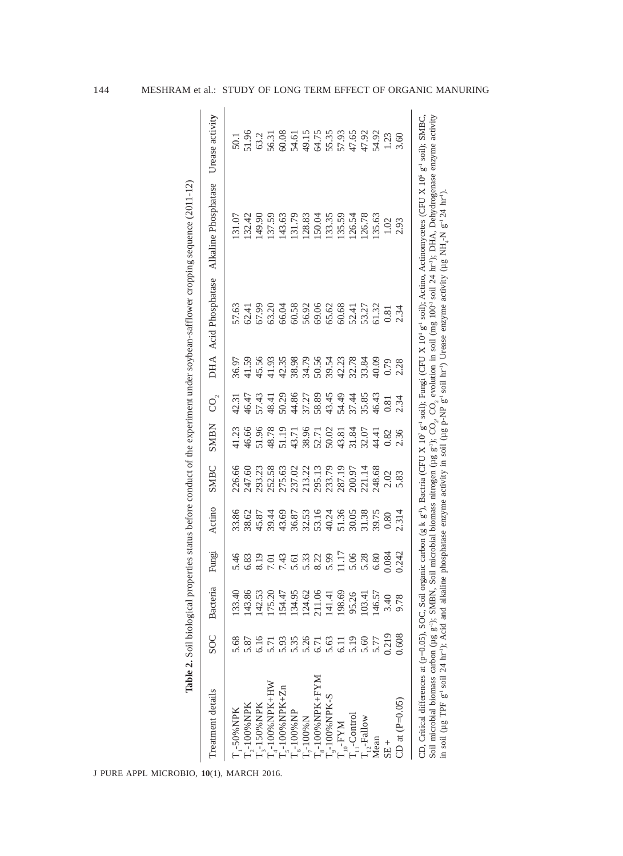| Treatment details         | <b>SOC</b>       | Bacteria | Fungi                                                       | Actino                                                                                                                | SMBC                                                                   | <b>SMBN</b>                                                       | $\rm CO_{\hat{c}}$ |                                       | DHA Acid Phosphatase                                                                            | Alkaline Phosphatase | Urease activity                                                                                                                                                                         |
|---------------------------|------------------|----------|-------------------------------------------------------------|-----------------------------------------------------------------------------------------------------------------------|------------------------------------------------------------------------|-------------------------------------------------------------------|--------------------|---------------------------------------|-------------------------------------------------------------------------------------------------|----------------------|-----------------------------------------------------------------------------------------------------------------------------------------------------------------------------------------|
| '-50%NPK                  | 5.68             | 133.40   | 5.46                                                        | 33.86                                                                                                                 | 26.66                                                                  | 41.23                                                             | 12.31              | <b>16.97</b>                          |                                                                                                 | 131.07               |                                                                                                                                                                                         |
| $\rm T_{2}$ -100% NPK     | 5.87             | 143.86   | 6.83                                                        |                                                                                                                       | 247.60                                                                 |                                                                   |                    |                                       |                                                                                                 | 132.42               |                                                                                                                                                                                         |
| $\Gamma_{3}$ -150% NPK    | 6.16             | 142.53   |                                                             | 38.62<br>45.87                                                                                                        | 293.23                                                                 | 46.66<br>51.82.71.75<br>51.83.75.75.75.75.74<br>52.75.75.75.75.74 |                    | 41.59<br>45.56                        | 57.63<br>52.41<br>57.99                                                                         | 149.90               | $50.1$ $50.2$<br>$50.3$<br>$50.3$<br>$50.5$<br>$50.5$<br>$50.5$<br>$50.5$<br>$50.5$<br>$50.5$<br>$50.5$<br>$50.5$<br>$50.5$<br>$50.5$<br>$50.5$<br>$50.5$<br>$50.5$<br>$50.5$<br>$50.5$ |
| $T - 100\%$ NPK+HW        | 5.71             | 75.20    | $0.013$<br>$0.43$<br>$0.45$<br>$0.63$<br>$0.011$<br>$0.011$ |                                                                                                                       |                                                                        |                                                                   |                    |                                       |                                                                                                 | 137.59               |                                                                                                                                                                                         |
| $T_s$ -100% NPK+Zn        | 5.93             | 154.47   |                                                             |                                                                                                                       |                                                                        |                                                                   |                    |                                       |                                                                                                 |                      |                                                                                                                                                                                         |
| $T_{6}$ -100% NP          | 5.35             | 134.95   |                                                             |                                                                                                                       |                                                                        |                                                                   |                    |                                       |                                                                                                 | 143.63<br>131.79     |                                                                                                                                                                                         |
| $T_{r}$ -100% $N$         | 5.26             | 124.62   |                                                             |                                                                                                                       |                                                                        |                                                                   |                    |                                       |                                                                                                 |                      |                                                                                                                                                                                         |
| $T_{\rm s}$ -100% NPK+FYM | 6.71             | 211.06   |                                                             |                                                                                                                       |                                                                        |                                                                   |                    |                                       |                                                                                                 | 128.83<br>150.04     |                                                                                                                                                                                         |
| $T_{9}$ -100% NPK-S       | 5.63             | 141.41   |                                                             |                                                                                                                       | 32.58<br>275.02.21<br>275.02.21<br>28.53.71.95.03.03.21.14<br>28.68.22 |                                                                   |                    | 5.558<br>5.56855555884<br>5.568555588 | $63.20$<br>$66.58$<br>$66.58$<br>$66.66$<br>$66.62$<br>$66.62$<br>$66.63$<br>$66.63$<br>$67.77$ |                      |                                                                                                                                                                                         |
| $T_{10}$ -FYM             | $\overline{6}$ . | 198.69   |                                                             |                                                                                                                       |                                                                        |                                                                   |                    |                                       |                                                                                                 | 133.35<br>135.59     |                                                                                                                                                                                         |
| $T_{\text{H}}$ -Control   | 5.19             | 95.26    |                                                             |                                                                                                                       |                                                                        |                                                                   |                    |                                       |                                                                                                 | 126.54               |                                                                                                                                                                                         |
| $T_{0,2}$ -Fallow         | 5.60             | 103.41   | 5.06<br>5.28                                                |                                                                                                                       |                                                                        |                                                                   |                    |                                       |                                                                                                 | 126.78               |                                                                                                                                                                                         |
| Mean                      | 5.77             | 146.57   | 6.80                                                        | $39.44$<br>$43.68$<br>$43.68$<br>$53.15$<br>$54.36$<br>$55.75$<br>$55.36$<br>$55.75$<br>$55.75$<br>$55.75$<br>$50.80$ |                                                                        |                                                                   | 16.43              | 40.09                                 | 51.32                                                                                           | 135.63               |                                                                                                                                                                                         |
| $SE +$                    | 0.219            | 3.40     | 0.084                                                       |                                                                                                                       |                                                                        | 0.82                                                              | 0.81               | 0.79                                  | 0.81                                                                                            | 1.02                 |                                                                                                                                                                                         |
| CD at $(P=0.05)$          | 0.608            | 9.78     | 0.242                                                       | 2.314                                                                                                                 | $2.02$<br>5.83                                                         | 2.36                                                              | 2.34               | 2.28                                  | 2.34                                                                                            | 2.93                 | 3.60                                                                                                                                                                                    |

144 MESHRAM et al.: STUDY OF LONG TERM EFFECT OF ORGANIC MANURING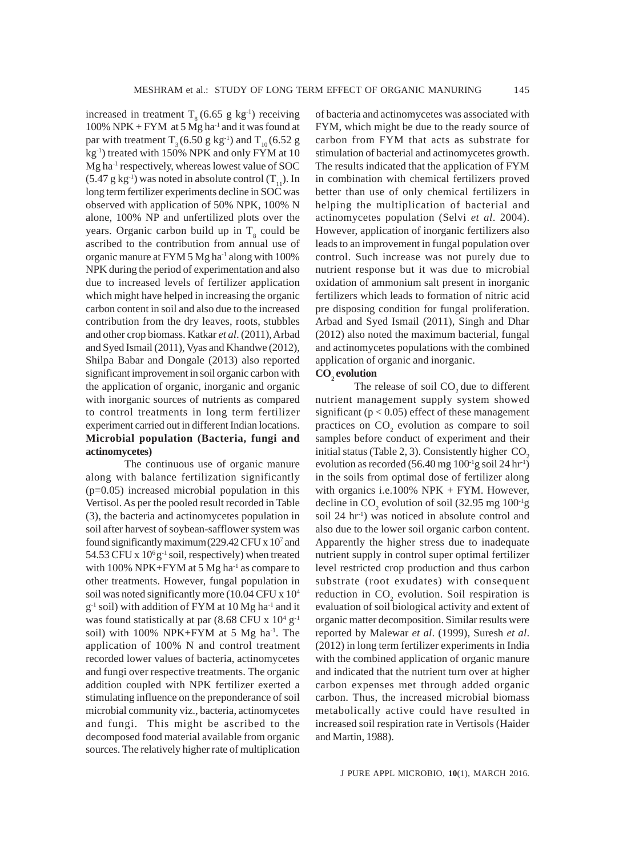increased in treatment  $T<sub>8</sub> (6.65 g kg<sup>-1</sup>)$  receiving 100% NPK + FYM at 5 Mg ha<sup>-1</sup> and it was found at par with treatment  $T_3 (6.50 \text{ g kg}^{-1})$  and  $T_{10} (6.52 \text{ g})$ kg-1) treated with 150% NPK and only FYM at 10 Mg ha-1 respectively, whereas lowest value of SOC  $(5.47 \text{ g kg}^{-1})$  was noted in absolute control  $(T_{11})$ . In long term fertilizer experiments decline in SOC was observed with application of 50% NPK, 100% N alone, 100% NP and unfertilized plots over the years. Organic carbon build up in  $T<sub>8</sub>$  could be ascribed to the contribution from annual use of organic manure at FYM 5 Mg ha-1 along with 100% NPK during the period of experimentation and also due to increased levels of fertilizer application which might have helped in increasing the organic carbon content in soil and also due to the increased contribution from the dry leaves, roots, stubbles and other crop biomass. Katkar *et al*. (2011), Arbad and Syed Ismail (2011), Vyas and Khandwe (2012), Shilpa Babar and Dongale (2013) also reported significant improvement in soil organic carbon with the application of organic, inorganic and organic with inorganic sources of nutrients as compared to control treatments in long term fertilizer experiment carried out in different Indian locations. **Microbial population (Bacteria, fungi and actinomycetes)**

The continuous use of organic manure along with balance fertilization significantly (p=0.05) increased microbial population in this Vertisol. As per the pooled result recorded in Table (3), the bacteria and actinomycetes population in soil after harvest of soybean-safflower system was found significantly maximum (229.42 CFU x 10<sup>7</sup> and 54.53 CFU x  $10^6$  g<sup>-1</sup> soil, respectively) when treated with 100% NPK+FYM at 5 Mg ha<sup>-1</sup> as compare to other treatments. However, fungal population in soil was noted significantly more (10.04 CFU x 104  $g^{-1}$  soil) with addition of FYM at 10 Mg ha<sup>-1</sup> and it was found statistically at par  $(8.68$  CFU x  $10^4$  g<sup>-1</sup> soil) with  $100\%$  NPK+FYM at 5 Mg ha<sup>-1</sup>. The application of 100% N and control treatment recorded lower values of bacteria, actinomycetes and fungi over respective treatments. The organic addition coupled with NPK fertilizer exerted a stimulating influence on the preponderance of soil microbial community viz., bacteria, actinomycetes and fungi. This might be ascribed to the decomposed food material available from organic sources. The relatively higher rate of multiplication of bacteria and actinomycetes was associated with FYM, which might be due to the ready source of carbon from FYM that acts as substrate for stimulation of bacterial and actinomycetes growth. The results indicated that the application of FYM in combination with chemical fertilizers proved better than use of only chemical fertilizers in helping the multiplication of bacterial and actinomycetes population (Selvi *et al*. 2004). However, application of inorganic fertilizers also leads to an improvement in fungal population over control. Such increase was not purely due to nutrient response but it was due to microbial oxidation of ammonium salt present in inorganic fertilizers which leads to formation of nitric acid pre disposing condition for fungal proliferation. Arbad and Syed Ismail (2011), Singh and Dhar (2012) also noted the maximum bacterial, fungal and actinomycetes populations with the combined application of organic and inorganic.

## $CO<sub>2</sub>$  evolution

The release of soil  $CO<sub>2</sub>$  due to different nutrient management supply system showed significant ( $p < 0.05$ ) effect of these management practices on  $CO<sub>2</sub>$  evolution as compare to soil samples before conduct of experiment and their initial status (Table 2, 3). Consistently higher  $CO<sub>2</sub>$ evolution as recorded  $(56.40 \text{ mg } 100 \text{ g} \text{ soil } 24 \text{ hr}^1)$ in the soils from optimal dose of fertilizer along with organics i.e.100% NPK + FYM. However, decline in  $CO_2$  evolution of soil (32.95 mg 100<sup>-1</sup>g soil 24 hr<sup>-1</sup>) was noticed in absolute control and also due to the lower soil organic carbon content. Apparently the higher stress due to inadequate nutrient supply in control super optimal fertilizer level restricted crop production and thus carbon substrate (root exudates) with consequent reduction in  $CO<sub>2</sub>$  evolution. Soil respiration is evaluation of soil biological activity and extent of organic matter decomposition. Similar results were reported by Malewar *et al*. (1999), Suresh *et al*. (2012) in long term fertilizer experiments in India with the combined application of organic manure and indicated that the nutrient turn over at higher carbon expenses met through added organic carbon. Thus, the increased microbial biomass metabolically active could have resulted in increased soil respiration rate in Vertisols (Haider and Martin, 1988).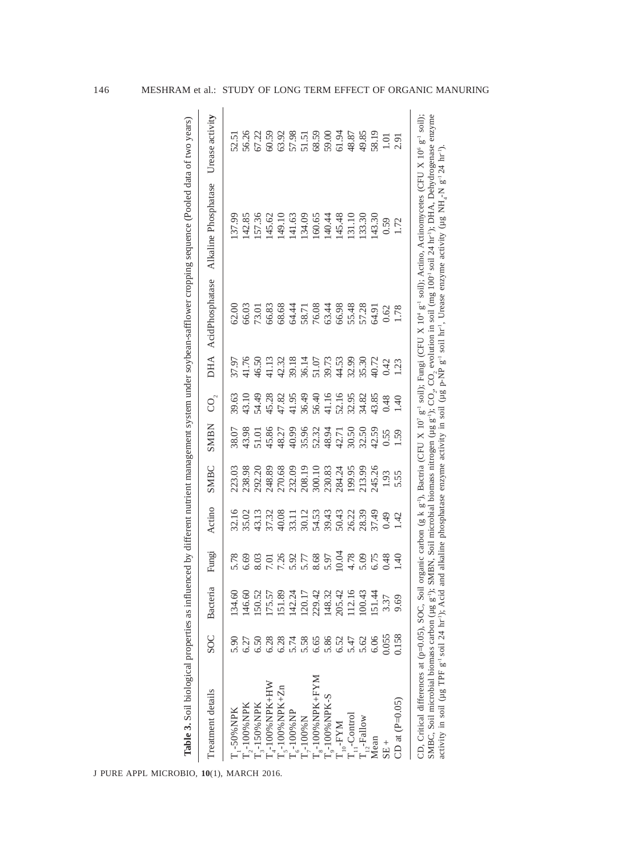| Treatment details                                                         | <b>SOC</b> | Bacteria | Fungi                        | Actino                           | SMBC             | <b>SMBN</b>                                         | $\overline{C}$          |                                                                 | DHA AcidPhosphatase                       | Alkaline Phosphatase Urease activity                                                                                                                                                                                                                                                                                                                                                                                                                                                                                                                                                                                                                                                             |                         |
|---------------------------------------------------------------------------|------------|----------|------------------------------|----------------------------------|------------------|-----------------------------------------------------|-------------------------|-----------------------------------------------------------------|-------------------------------------------|--------------------------------------------------------------------------------------------------------------------------------------------------------------------------------------------------------------------------------------------------------------------------------------------------------------------------------------------------------------------------------------------------------------------------------------------------------------------------------------------------------------------------------------------------------------------------------------------------------------------------------------------------------------------------------------------------|-------------------------|
| T <sub>1</sub> -50%NPK                                                    | 5.90       | 134.60   |                              |                                  | 223.03           | 38.07                                               | 39.63                   | 37.97                                                           | 52.00                                     | 137.99                                                                                                                                                                                                                                                                                                                                                                                                                                                                                                                                                                                                                                                                                           | 52.51                   |
| T <sub>7</sub> -100% NPK                                                  | 6.27       | 146.60   | 5.78<br>6.69                 |                                  | 238.98           | 13.98                                               |                         |                                                                 |                                           | 142.85                                                                                                                                                                                                                                                                                                                                                                                                                                                                                                                                                                                                                                                                                           |                         |
| $T_{3}$ -150% NPK                                                         | 6.50       | 150.52   |                              | 32.16<br>35.02<br>37.32<br>37.32 |                  |                                                     | 43.10<br>54.49<br>45.28 | $\frac{11.76}{16.50}$                                           | 56.03<br>73.01                            | 157.36                                                                                                                                                                                                                                                                                                                                                                                                                                                                                                                                                                                                                                                                                           | 56.26<br>67.22          |
| $T_{4}$ -100% NPK+HW                                                      | 6.28       | 175.57   | 7.01                         |                                  | 292.20<br>248.89 | 51.01<br>45.86                                      |                         |                                                                 | 56.83                                     | 145.62                                                                                                                                                                                                                                                                                                                                                                                                                                                                                                                                                                                                                                                                                           | 60.59                   |
| $T_{s}$ -100% NPK+Zn                                                      | 6.28       | 151.89   |                              | 40.08                            | 270.68           |                                                     | 47.82                   | $\begin{array}{c} 42.32 \\ 39.18 \\ 36.14 \\ 51.07 \end{array}$ |                                           |                                                                                                                                                                                                                                                                                                                                                                                                                                                                                                                                                                                                                                                                                                  | 63.92                   |
| $T_{6}$ -100% NP                                                          | 5.74       | 142.24   |                              |                                  |                  |                                                     |                         |                                                                 |                                           |                                                                                                                                                                                                                                                                                                                                                                                                                                                                                                                                                                                                                                                                                                  |                         |
| $T_{\gamma}$ -100% $N$                                                    | 5.58       | 120.17   |                              |                                  | 232.09<br>208.19 |                                                     |                         |                                                                 |                                           |                                                                                                                                                                                                                                                                                                                                                                                                                                                                                                                                                                                                                                                                                                  |                         |
| $T_{\rm s}$ -100% NPK+FYM                                                 | 6.65       | 229.42   | 7.36<br>5.97<br>5.88<br>5.97 |                                  |                  |                                                     | 41.95<br>36.49<br>56.40 |                                                                 |                                           |                                                                                                                                                                                                                                                                                                                                                                                                                                                                                                                                                                                                                                                                                                  | 57.98<br>51.51<br>68.59 |
| $T_{o}$ -100%NPK-S                                                        | 5.86       | 148.32   |                              | 33.11<br>30.12<br>39.43<br>39.43 | 300.10           | $48.27$<br>$40.99$<br>$55.96$<br>$52.32$<br>$48.94$ | 41.16                   | 39.73<br>44.53<br>32.99                                         | 68.68<br>64.71<br>66.98<br>66.98<br>66.98 | 149.10<br>141.63<br>134.09<br>134.44<br>145.48<br>145.48                                                                                                                                                                                                                                                                                                                                                                                                                                                                                                                                                                                                                                         | 59.00                   |
| $T_{10}$ -FYM                                                             | 6.52       | 205.42   | 10.04                        |                                  | 284.24           | 42.71<br>30.50                                      | 52.16<br>32.95          |                                                                 |                                           |                                                                                                                                                                                                                                                                                                                                                                                                                                                                                                                                                                                                                                                                                                  | 61.94                   |
| $T_{11}$ -Control                                                         | 5.47       | 112.16   | 4.78                         | 50.43<br>26.22                   | 199.95           |                                                     |                         |                                                                 |                                           |                                                                                                                                                                                                                                                                                                                                                                                                                                                                                                                                                                                                                                                                                                  | 48.87                   |
| $T_{12}$ -Fallow                                                          | 5.62       | 100.43   | 5.09                         | 28.39                            | 213.99           | 32.50                                               | 34.82                   | \$5.30                                                          | 57.28                                     | 133.30                                                                                                                                                                                                                                                                                                                                                                                                                                                                                                                                                                                                                                                                                           | 49.85                   |
| Mean                                                                      | 6.06       | 151.44   | 6.75<br>0.48                 | 87.49                            | 245.26           | 12.59                                               | 43.85                   | 10.72                                                           | 54.91                                     | 143.30                                                                                                                                                                                                                                                                                                                                                                                                                                                                                                                                                                                                                                                                                           | 58.19                   |
| $SE +$                                                                    | 0.055      | 3.37     |                              | 0.49                             | 1.93             | 0.55                                                | 0.48                    | 0.42                                                            | 0.62                                      | 0.59                                                                                                                                                                                                                                                                                                                                                                                                                                                                                                                                                                                                                                                                                             | 1.01                    |
| CD at $(P=0.05)$                                                          | 0.158      | 9.69     | $\overline{5}$               | 1.42                             | 5.55             | 1.59                                                | $0+1$                   | $\overline{23}$                                                 | 1.78                                      | 1.72                                                                                                                                                                                                                                                                                                                                                                                                                                                                                                                                                                                                                                                                                             | 2.91                    |
| activity in soil (µg TPF g <sup>-1</sup> soil 24 hr <sup>-1</sup> ); Acid |            |          |                              |                                  |                  |                                                     |                         |                                                                 |                                           | SMBC, Soil microbial biomass carbon (µg g <sup>-)</sup> ); SMBN, Soil microbial biomass nitrogen (µg g <sup>-)</sup> ); CO <sub>2</sub> , CO <sub>2</sub> , evolution in soil (mg 100 <sup>1</sup> soil 24 hr <sup>-)</sup> ); DHA, Dehydrogenase enzyme<br>CD, Critical differences at (p=0.05), SOC, Soil organic carbon (g k g <sup>-1</sup> ), Bactria (CFU X 10' g <sup>-1</sup> soil); Fungi (CFU X 10' g <sup>-1</sup> soil); Actino, Actinomycetes (CFU X 10' g <sup>-1</sup> soil);<br>and alkaline phosphatase enzyme activity in soil ( $\mu g$ p-NP g <sup>-1</sup> soil hr <sup>1</sup> , Urease enzyme activity ( $\mu g$ NH <sub>2</sub> -N g <sup>-1</sup> 24 hr <sup>1</sup> ). |                         |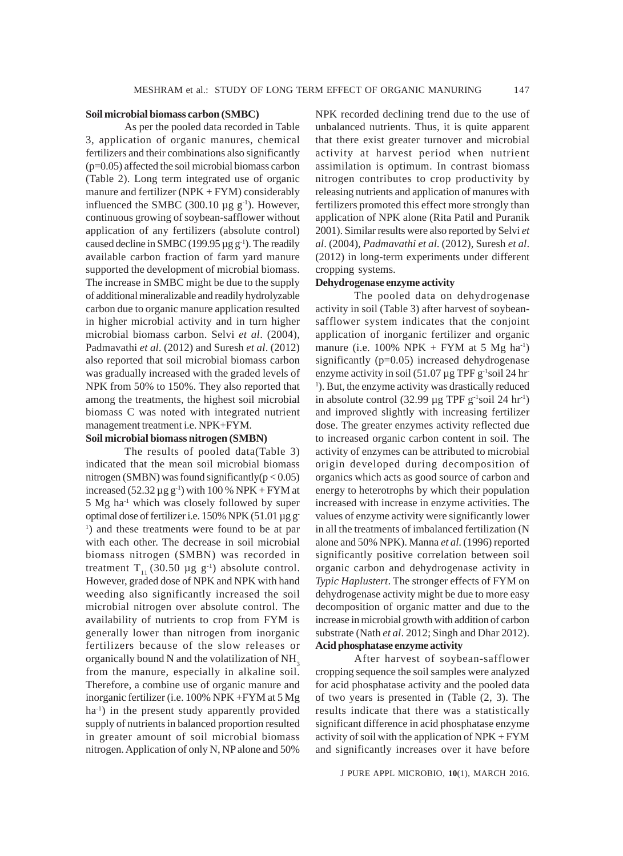## **Soil microbial biomass carbon (SMBC)**

As per the pooled data recorded in Table 3, application of organic manures, chemical fertilizers and their combinations also significantly (p=0.05) affected the soil microbial biomass carbon (Table 2). Long term integrated use of organic manure and fertilizer (NPK + FYM) considerably influenced the SMBC (300.10  $\mu$ g g<sup>-1</sup>). However, continuous growing of soybean-safflower without application of any fertilizers (absolute control) caused decline in SMBC (199.95  $\mu$ g g<sup>-1</sup>). The readily available carbon fraction of farm yard manure supported the development of microbial biomass. The increase in SMBC might be due to the supply of additional mineralizable and readily hydrolyzable carbon due to organic manure application resulted in higher microbial activity and in turn higher microbial biomass carbon. Selvi *et al*. (2004), Padmavathi *et al*. (2012) and Suresh *et al*. (2012) also reported that soil microbial biomass carbon was gradually increased with the graded levels of NPK from 50% to 150%. They also reported that among the treatments, the highest soil microbial biomass C was noted with integrated nutrient management treatment i.e. NPK+FYM.

## **Soil microbial biomass nitrogen (SMBN)**

The results of pooled data(Table 3) indicated that the mean soil microbial biomass nitrogen (SMBN) was found significantly( $p < 0.05$ ) increased (52.32  $\mu$ g g<sup>-1</sup>) with 100 % NPK + FYM at 5 Mg ha-1 which was closely followed by super optimal dose of fertilizer i.e. 150% NPK (51.01 µg g-<sup>1</sup>) and these treatments were found to be at par with each other. The decrease in soil microbial biomass nitrogen (SMBN) was recorded in treatment T<sub>11</sub> (30.50 µg g<sup>-1</sup>) absolute control. However, graded dose of NPK and NPK with hand weeding also significantly increased the soil microbial nitrogen over absolute control. The availability of nutrients to crop from FYM is generally lower than nitrogen from inorganic fertilizers because of the slow releases or organically bound N and the volatilization of  $NH<sub>3</sub>$ from the manure, especially in alkaline soil. Therefore, a combine use of organic manure and inorganic fertilizer (i.e. 100% NPK +FYM at 5 Mg ha<sup>-1</sup>) in the present study apparently provided supply of nutrients in balanced proportion resulted in greater amount of soil microbial biomass nitrogen. Application of only N, NP alone and 50%

NPK recorded declining trend due to the use of unbalanced nutrients. Thus, it is quite apparent that there exist greater turnover and microbial activity at harvest period when nutrient assimilation is optimum. In contrast biomass nitrogen contributes to crop productivity by releasing nutrients and application of manures with fertilizers promoted this effect more strongly than application of NPK alone (Rita Patil and Puranik 2001). Similar results were also reported by Selvi *et al*. (2004), *Padmavathi et al*. (2012), Suresh *et al*. (2012) in long-term experiments under different cropping systems.

## **Dehydrogenase enzyme activity**

The pooled data on dehydrogenase activity in soil (Table 3) after harvest of soybeansafflower system indicates that the conjoint application of inorganic fertilizer and organic manure (i.e. 100% NPK + FYM at 5 Mg ha<sup>-1</sup>) significantly (p=0.05) increased dehydrogenase enzyme activity in soil  $(51.07 \,\mu g \,\text{TPF} g^{-1} \text{solid} 24 \,\text{hr}^{-1})$ <sup>1</sup>). But, the enzyme activity was drastically reduced in absolute control (32.99  $\mu$ g TPF g<sup>-1</sup>soil 24 hr<sup>-1</sup>) and improved slightly with increasing fertilizer dose. The greater enzymes activity reflected due to increased organic carbon content in soil. The activity of enzymes can be attributed to microbial origin developed during decomposition of organics which acts as good source of carbon and energy to heterotrophs by which their population increased with increase in enzyme activities. The values of enzyme activity were significantly lower in all the treatments of imbalanced fertilization (N alone and 50% NPK). Manna *et al*. (1996) reported significantly positive correlation between soil organic carbon and dehydrogenase activity in *Typic Haplustert*. The stronger effects of FYM on dehydrogenase activity might be due to more easy decomposition of organic matter and due to the increase in microbial growth with addition of carbon substrate (Nath *et al*. 2012; Singh and Dhar 2012). **Acid phosphatase enzyme activity**

After harvest of soybean-safflower cropping sequence the soil samples were analyzed for acid phosphatase activity and the pooled data of two years is presented in (Table (2, 3). The results indicate that there was a statistically significant difference in acid phosphatase enzyme activity of soil with the application of NPK + FYM and significantly increases over it have before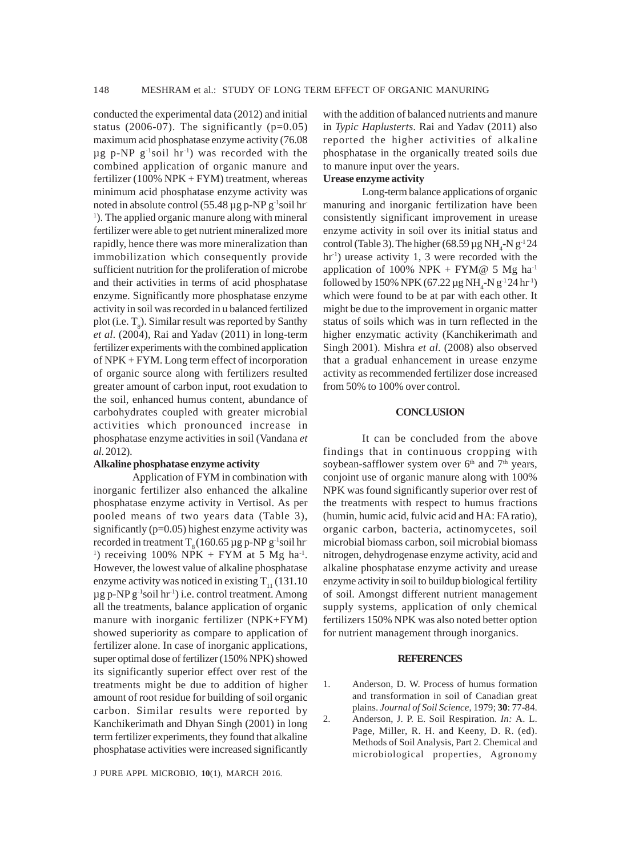conducted the experimental data (2012) and initial status (2006-07). The significantly  $(p=0.05)$ maximum acid phosphatase enzyme activity (76.08  $\mu$ g p-NP g<sup>-1</sup>soil hr<sup>-1</sup>) was recorded with the combined application of organic manure and fertilizer (100%  $NPK + FYM$ ) treatment, whereas minimum acid phosphatase enzyme activity was noted in absolute control  $(55.48 \mu g p-NP g^{-1} \text{solid hr})$ <sup>1</sup>). The applied organic manure along with mineral fertilizer were able to get nutrient mineralized more rapidly, hence there was more mineralization than immobilization which consequently provide sufficient nutrition for the proliferation of microbe and their activities in terms of acid phosphatase enzyme. Significantly more phosphatase enzyme activity in soil was recorded in u balanced fertilized plot (i.e.  $T_s$ ). Similar result was reported by Santhy *et al*. (2004), Rai and Yadav (2011) in long-term fertilizer experiments with the combined application of NPK + FYM. Long term effect of incorporation of organic source along with fertilizers resulted greater amount of carbon input, root exudation to the soil, enhanced humus content, abundance of carbohydrates coupled with greater microbial activities which pronounced increase in phosphatase enzyme activities in soil (Vandana *et al*. 2012).

## **Alkaline phosphatase enzyme activity**

Application of FYM in combination with inorganic fertilizer also enhanced the alkaline phosphatase enzyme activity in Vertisol. As per pooled means of two years data (Table 3), significantly (p=0.05) highest enzyme activity was recorded in treatment  $T_0$  (160.65 µg p-NP g<sup>-1</sup>soil hr-<sup>1</sup>) receiving 100% NPK + FYM at 5 Mg ha<sup>-1</sup>. However, the lowest value of alkaline phosphatase enzyme activity was noticed in existing  $T_{11}$  (131.10)  $\mu$ g p-NP g<sup>-1</sup>soil hr<sup>-1</sup>) i.e. control treatment. Among all the treatments, balance application of organic manure with inorganic fertilizer (NPK+FYM) showed superiority as compare to application of fertilizer alone. In case of inorganic applications, super optimal dose of fertilizer (150% NPK) showed its significantly superior effect over rest of the treatments might be due to addition of higher amount of root residue for building of soil organic carbon. Similar results were reported by Kanchikerimath and Dhyan Singh (2001) in long term fertilizer experiments, they found that alkaline phosphatase activities were increased significantly

J PURE APPL MICROBIO*,* **10**(1), MARCH 2016.

with the addition of balanced nutrients and manure in *Typic Haplusterts*. Rai and Yadav (2011) also reported the higher activities of alkaline phosphatase in the organically treated soils due to manure input over the years. **Urease enzyme activity**

Long-term balance applications of organic manuring and inorganic fertilization have been consistently significant improvement in urease enzyme activity in soil over its initial status and control (Table 3). The higher (68.59  $\mu$ g NH<sub>4</sub>-N g<sup>-1</sup>24  $hr<sup>-1</sup>$ ) urease activity 1, 3 were recorded with the application of 100% NPK + FYM@ 5 Mg ha<sup>-1</sup> followed by 150% NPK (67.22  $\mu$ g NH<sub>4</sub>-N g<sup>-1</sup>24 hr<sup>-1</sup>) which were found to be at par with each other. It might be due to the improvement in organic matter status of soils which was in turn reflected in the higher enzymatic activity (Kanchikerimath and Singh 2001). Mishra *et al*. (2008) also observed that a gradual enhancement in urease enzyme activity as recommended fertilizer dose increased from 50% to 100% over control.

## **CONCLUSION**

It can be concluded from the above findings that in continuous cropping with soybean-safflower system over  $6<sup>th</sup>$  and  $7<sup>th</sup>$  years, conjoint use of organic manure along with 100% NPK was found significantly superior over rest of the treatments with respect to humus fractions (humin, humic acid, fulvic acid and HA: FA ratio), organic carbon, bacteria, actinomycetes, soil microbial biomass carbon, soil microbial biomass nitrogen, dehydrogenase enzyme activity, acid and alkaline phosphatase enzyme activity and urease enzyme activity in soil to buildup biological fertility of soil. Amongst different nutrient management supply systems, application of only chemical fertilizers 150% NPK was also noted better option for nutrient management through inorganics.

## **REFERENCES**

1. Anderson, D. W. Process of humus formation and transformation in soil of Canadian great plains. *Journal of Soil Science*, 1979; **30**: 77-84.

2. Anderson, J. P. E. Soil Respiration. *In:* A. L. Page, Miller, R. H. and Keeny, D. R. (ed). Methods of Soil Analysis, Part 2. Chemical and microbiological properties, Agronomy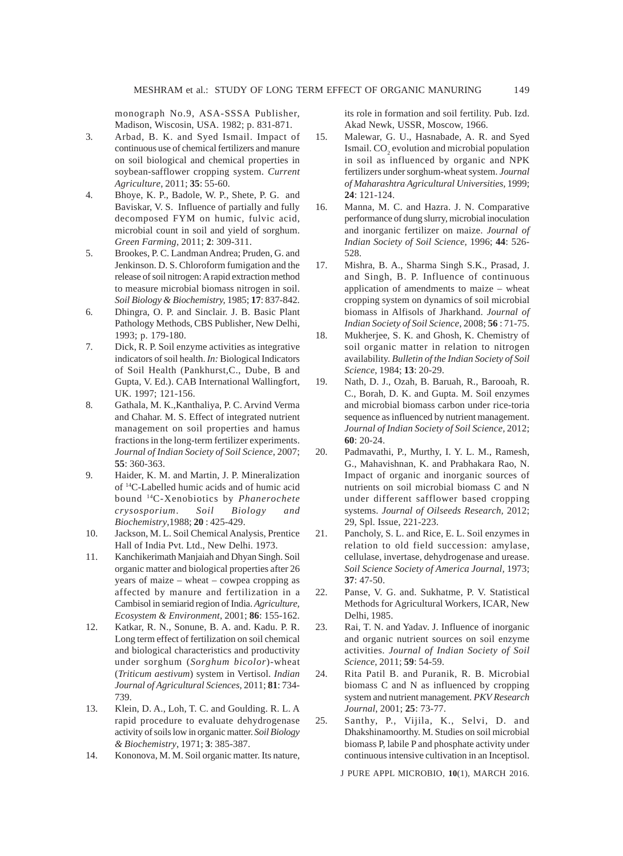monograph No.9, ASA-SSSA Publisher, Madison, Wiscosin, USA. 1982; p. 831-871.

- 3. Arbad, B. K. and Syed Ismail. Impact of continuous use of chemical fertilizers and manure on soil biological and chemical properties in soybean-safflower cropping system. *Current Agriculture*, 2011; **35**: 55-60.
- 4. Bhoye, K. P., Badole, W. P., Shete, P. G. and Baviskar, V. S. Influence of partially and fully decomposed FYM on humic, fulvic acid, microbial count in soil and yield of sorghum. *Green Farming,* 2011; **2**: 309-311.
- 5. Brookes, P. C. Landman Andrea; Pruden, G. and Jenkinson. D. S. Chloroform fumigation and the release of soil nitrogen: A rapid extraction method to measure microbial biomass nitrogen in soil. *Soil Biology & Biochemistry,* 1985; **17**: 837-842.
- 6. Dhingra, O. P. and Sinclair. J. B. Basic Plant Pathology Methods, CBS Publisher, New Delhi, 1993; p. 179-180.
- 7. Dick, R. P. Soil enzyme activities as integrative indicators of soil health. *In:* Biological Indicators of Soil Health (Pankhurst,C., Dube, B and Gupta, V. Ed.). CAB International Wallingfort, UK. 1997; 121-156.
- 8. Gathala, M. K.,Kanthaliya, P. C. Arvind Verma and Chahar. M. S. Effect of integrated nutrient management on soil properties and hamus fractions in the long-term fertilizer experiments. *Journal of Indian Society of Soil Science*, 2007; **55**: 360-363.
- 9. Haider, K. M. and Martin, J. P. Mineralization of 14C-Labelled humic acids and of humic acid bound 14C-Xenobiotics by *Phanerochete crysosporium*. *Soil Biology and Biochemistry*,1988; **20** : 425-429.
- 10. Jackson, M. L. Soil Chemical Analysis, Prentice Hall of India Pvt. Ltd., New Delhi. 1973.
- 11. Kanchikerimath Manjaiah and Dhyan Singh. Soil organic matter and biological properties after 26 years of maize – wheat – cowpea cropping as affected by manure and fertilization in a Cambisol in semiarid region of India. *Agriculture, Ecosystem & Environment*, 2001; **86**: 155-162.
- 12. Katkar, R. N., Sonune, B. A. and. Kadu. P. R. Long term effect of fertilization on soil chemical and biological characteristics and productivity under sorghum (*Sorghum bicolor*)-wheat (*Triticum aestivum*) system in Vertisol. *Indian Journal of Agricultural Sciences,* 2011; **81**: 734- 739.
- 13. Klein, D. A., Loh, T. C. and Goulding. R. L. A rapid procedure to evaluate dehydrogenase activity of soils low in organic matter. *Soil Biology & Biochemistry*, 1971; **3**: 385-387.
- 14. Kononova, M. M. Soil organic matter. Its nature,

its role in formation and soil fertility. Pub. Izd. Akad Newk, USSR, Moscow, 1966.

- 15. Malewar, G. U., Hasnabade, A. R. and Syed Ismail.  $\mathrm{CO}_2$  evolution and microbial population in soil as influenced by organic and NPK fertilizers under sorghum-wheat system. *Journal of Maharashtra Agricultural Universities,* 1999; **24**: 121-124.
- 16. Manna, M. C. and Hazra. J. N. Comparative performance of dung slurry, microbial inoculation and inorganic fertilizer on maize. *Journal of Indian Society of Soil Science*, 1996; **44**: 526- 528.
- 17. Mishra, B. A., Sharma Singh S.K., Prasad, J. and Singh, B. P. Influence of continuous application of amendments to maize – wheat cropping system on dynamics of soil microbial biomass in Alfisols of Jharkhand. *Journal of Indian Society of Soil Science*, 2008; **56** : 71-75.
- 18. Mukherjee, S. K. and Ghosh, K. Chemistry of soil organic matter in relation to nitrogen availability. *Bulletin of the Indian Society of Soil Science*, 1984; **13**: 20-29.
- 19. Nath, D. J., Ozah, B. Baruah, R., Barooah, R. C., Borah, D. K. and Gupta. M. Soil enzymes and microbial biomass carbon under rice-toria sequence as influenced by nutrient management. *Journal of Indian Society of Soil Science,* 2012; **60**: 20-24.
- 20. Padmavathi, P., Murthy, I. Y. L. M., Ramesh, G., Mahavishnan, K. and Prabhakara Rao, N. Impact of organic and inorganic sources of nutrients on soil microbial biomass C and N under different safflower based cropping systems. *Journal of Oilseeds Research,* 2012; 29, Spl. Issue, 221-223.
- 21. Pancholy, S. L. and Rice, E. L. Soil enzymes in relation to old field succession: amylase, cellulase, invertase, dehydrogenase and urease. *Soil Science Society of America Journal,* 1973; **37**: 47-50.
- 22. Panse, V. G. and. Sukhatme, P. V. Statistical Methods for Agricultural Workers, ICAR, New Delhi, 1985.
- 23. Rai, T. N. and Yadav. J. Influence of inorganic and organic nutrient sources on soil enzyme activities. *Journal of Indian Society of Soil Science*, 2011; **59**: 54-59.
- 24. Rita Patil B. and Puranik, R. B. Microbial biomass C and N as influenced by cropping system and nutrient management. *PKV Research Journal*, 2001; **25**: 73-77.
- 25. Santhy, P., Vijila, K., Selvi, D. and Dhakshinamoorthy. M. Studies on soil microbial biomass P, labile P and phosphate activity under continuous intensive cultivation in an Inceptisol.